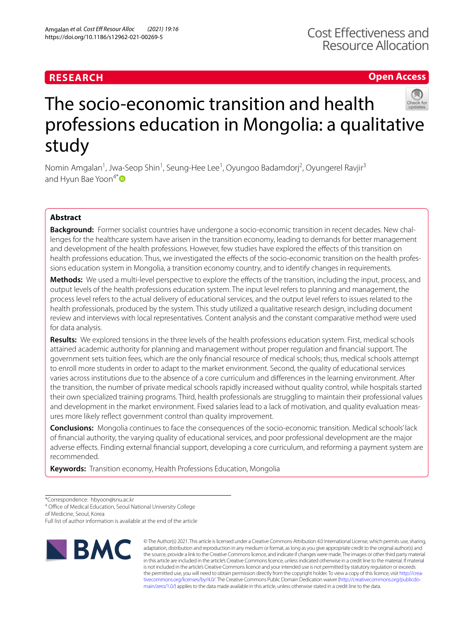# **RESEARCH**

**Open Access**

# The socio-economic transition and health professions education in Mongolia: a qualitative study

Nomin Amgalan<sup>1</sup>, Jwa-Seop Shin<sup>1</sup>, Seung-Hee Lee<sup>1</sup>, Oyungoo Badamdorj<sup>2</sup>, Oyungerel Ravjir<sup>3</sup> and Hyun Bae Yoon $4^* \bullet$  $4^* \bullet$  $4^* \bullet$ 

# **Abstract**

Background: Former socialist countries have undergone a socio-economic transition in recent decades. New challenges for the healthcare system have arisen in the transition economy, leading to demands for better management and development of the health professions. However, few studies have explored the efects of this transition on health professions education. Thus, we investigated the effects of the socio-economic transition on the health professions education system in Mongolia, a transition economy country, and to identify changes in requirements.

Methods: We used a multi-level perspective to explore the effects of the transition, including the input, process, and output levels of the health professions education system. The input level refers to planning and management, the process level refers to the actual delivery of educational services, and the output level refers to issues related to the health professionals, produced by the system. This study utilized a qualitative research design, including document review and interviews with local representatives. Content analysis and the constant comparative method were used for data analysis.

**Results:** We explored tensions in the three levels of the health professions education system. First, medical schools attained academic authority for planning and management without proper regulation and fnancial support. The government sets tuition fees, which are the only fnancial resource of medical schools; thus, medical schools attempt to enroll more students in order to adapt to the market environment. Second, the quality of educational services varies across institutions due to the absence of a core curriculum and diferences in the learning environment. After the transition, the number of private medical schools rapidly increased without quality control, while hospitals started their own specialized training programs. Third, health professionals are struggling to maintain their professional values and development in the market environment. Fixed salaries lead to a lack of motivation, and quality evaluation measures more likely refect government control than quality improvement.

**Conclusions:** Mongolia continues to face the consequences of the socio-economic transition. Medical schools' lack of fnancial authority, the varying quality of educational services, and poor professional development are the major adverse efects. Finding external fnancial support, developing a core curriculum, and reforming a payment system are recommended.

**Keywords:** Transition economy, Health Professions Education, Mongolia

\*Correspondence: hbyoon@snu.ac.kr

<sup>4</sup> Office of Medical Education, Seoul National University College

of Medicine, Seoul, Korea

Full list of author information is available at the end of the article



© The Author(s) 2021. This article is licensed under a Creative Commons Attribution 4.0 International License, which permits use, sharing, adaptation, distribution and reproduction in any medium or format, as long as you give appropriate credit to the original author(s) and the source, provide a link to the Creative Commons licence, and indicate if changes were made. The images or other third party material in this article are included in the article's Creative Commons licence, unless indicated otherwise in a credit line to the material. If material is not included in the article's Creative Commons licence and your intended use is not permitted by statutory regulation or exceeds the permitted use, you will need to obtain permission directly from the copyright holder. To view a copy of this licence, visit http://crea[tivecommons.org/licenses/by/4.0/.](http://creativecommons.org/licenses/by/4.0/) The Creative Commons Public Domain Dedication waiver (http://creativecommons.org/publicdo[main/zero/1.0/\)](http://creativecommons.org/publicdomain/zero/1.0/) applies to the data made available in this article, unless otherwise stated in a credit line to the data.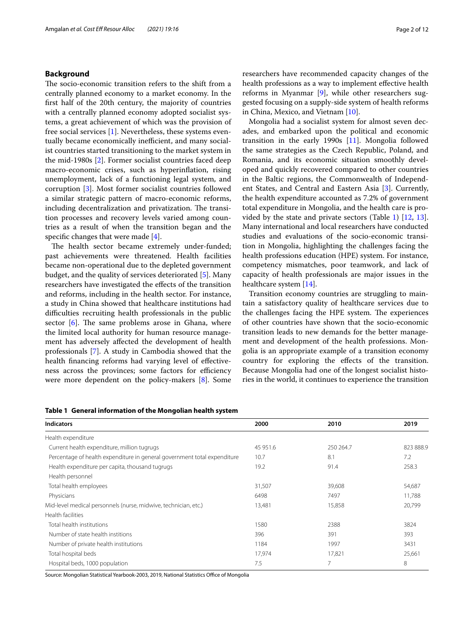# **Background**

The socio-economic transition refers to the shift from a centrally planned economy to a market economy. In the frst half of the 20th century, the majority of countries with a centrally planned economy adopted socialist systems, a great achievement of which was the provision of free social services [[1\]](#page-10-0). Nevertheless, these systems eventually became economically inefficient, and many socialist countries started transitioning to the market system in the mid-1980s [\[2](#page-10-1)]. Former socialist countries faced deep macro-economic crises, such as hyperinfation, rising unemployment, lack of a functioning legal system, and corruption [[3](#page-10-2)]. Most former socialist countries followed a similar strategic pattern of macro-economic reforms, including decentralization and privatization. The transition processes and recovery levels varied among countries as a result of when the transition began and the specifc changes that were made [\[4\]](#page-10-3).

The health sector became extremely under-funded; past achievements were threatened. Health facilities became non-operational due to the depleted government budget, and the quality of services deteriorated [\[5](#page-10-4)]. Many researchers have investigated the efects of the transition and reforms, including in the health sector. For instance, a study in China showed that healthcare institutions had difculties recruiting health professionals in the public sector  $[6]$  $[6]$ . The same problems arose in Ghana, where the limited local authority for human resource management has adversely afected the development of health professionals [\[7](#page-10-6)]. A study in Cambodia showed that the health fnancing reforms had varying level of efectiveness across the provinces; some factors for efficiency were more dependent on the policy-makers [[8\]](#page-10-7). Some researchers have recommended capacity changes of the health professions as a way to implement effective health reforms in Myanmar [[9\]](#page-10-8), while other researchers suggested focusing on a supply-side system of health reforms in China, Mexico, and Vietnam [\[10](#page-10-9)].

Mongolia had a socialist system for almost seven decades, and embarked upon the political and economic transition in the early 1990s  $[11]$  $[11]$ . Mongolia followed the same strategies as the Czech Republic, Poland, and Romania, and its economic situation smoothly developed and quickly recovered compared to other countries in the Baltic regions, the Commonwealth of Independent States, and Central and Eastern Asia [\[3](#page-10-2)]. Currently, the health expenditure accounted as 7.2% of government total expenditure in Mongolia, and the health care is provided by the state and private sectors (Table [1](#page-1-0)) [[12,](#page-10-11) [13](#page-10-12)]. Many international and local researchers have conducted studies and evaluations of the socio-economic transition in Mongolia, highlighting the challenges facing the health professions education (HPE) system. For instance, competency mismatches, poor teamwork, and lack of capacity of health professionals are major issues in the healthcare system [\[14](#page-10-13)].

Transition economy countries are struggling to maintain a satisfactory quality of healthcare services due to the challenges facing the HPE system. The experiences of other countries have shown that the socio-economic transition leads to new demands for the better management and development of the health professions. Mongolia is an appropriate example of a transition economy country for exploring the efects of the transition. Because Mongolia had one of the longest socialist histories in the world, it continues to experience the transition

<span id="page-1-0"></span>

|  | Table 1 General information of the Mongolian health system |  |  |
|--|------------------------------------------------------------|--|--|
|--|------------------------------------------------------------|--|--|

| <b>Indicators</b>                                                        | 2000     | 2010      | 2019      |
|--------------------------------------------------------------------------|----------|-----------|-----------|
| Health expenditure                                                       |          |           |           |
| Current health expenditure, million tugrugs                              | 45 951.6 | 250 264.7 | 823 888.9 |
| Percentage of health expenditure in general government total expenditure | 10.7     | 8.1       | 7.2       |
| Health expenditure per capita, thousand tugrugs                          | 19.2     | 91.4      | 258.3     |
| Health personnel                                                         |          |           |           |
| Total health employees                                                   | 31,507   | 39,608    | 54,687    |
| Physicians                                                               | 6498     | 7497      | 11,788    |
| Mid-level medical personnels (nurse, midwive, technician, etc.)          | 13,481   | 15,858    | 20,799    |
| Health facilities                                                        |          |           |           |
| Total health institutions                                                | 1580     | 2388      | 3824      |
| Number of state health institions                                        | 396      | 391       | 393       |
| Number of private health institutions                                    | 1184     | 1997      | 3431      |
| Total hospital beds                                                      | 17,974   | 17,821    | 25,661    |
| Hospital beds, 1000 population                                           | 7.5      | 7         | 8         |

Source: Mongolian Statistical Yearbook-2003, 2019, National Statistics Office of Mongolia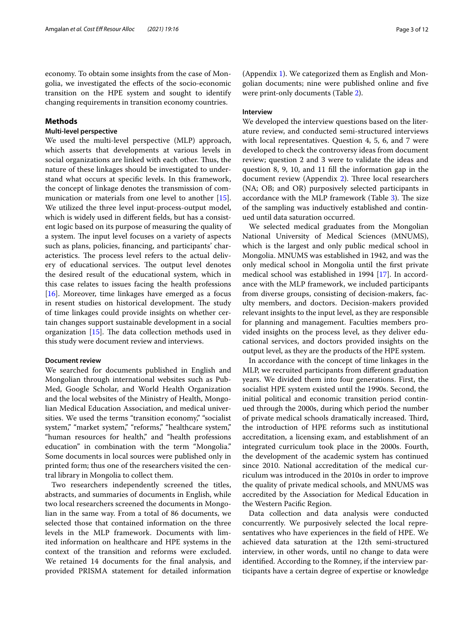economy. To obtain some insights from the case of Mongolia, we investigated the efects of the socio-economic transition on the HPE system and sought to identify changing requirements in transition economy countries.

## **Methods**

# **Multi‑level perspective**

We used the multi-level perspective (MLP) approach, which asserts that developments at various levels in social organizations are linked with each other. Thus, the nature of these linkages should be investigated to understand what occurs at specifc levels. In this framework, the concept of linkage denotes the transmission of com-munication or materials from one level to another [\[15](#page-10-14)]. We utilized the three level input-process-output model, which is widely used in diferent felds, but has a consistent logic based on its purpose of measuring the quality of a system. The input level focuses on a variety of aspects such as plans, policies, fnancing, and participants' characteristics. The process level refers to the actual delivery of educational services. The output level denotes the desired result of the educational system, which in this case relates to issues facing the health professions [[16\]](#page-10-15). Moreover, time linkages have emerged as a focus in resent studies on historical development. The study of time linkages could provide insights on whether certain changes support sustainable development in a social organization  $[15]$  $[15]$ . The data collection methods used in this study were document review and interviews.

#### **Document review**

We searched for documents published in English and Mongolian through international websites such as Pub-Med, Google Scholar, and World Health Organization and the local websites of the Ministry of Health, Mongolian Medical Education Association, and medical universities. We used the terms "transition economy," "socialist" system," "market system," "reforms," "healthcare system," "human resources for health," and "health professions education" in combination with the term "Mongolia." Some documents in local sources were published only in printed form; thus one of the researchers visited the central library in Mongolia to collect them.

Two researchers independently screened the titles, abstracts, and summaries of documents in English, while two local researchers screened the documents in Mongolian in the same way. From a total of 86 documents, we selected those that contained information on the three levels in the MLP framework. Documents with limited information on healthcare and HPE systems in the context of the transition and reforms were excluded. We retained 14 documents for the fnal analysis, and provided PRISMA statement for detailed information (Appendix [1\)](#page-9-0). We categorized them as English and Mongolian documents; nine were published online and fve were print-only documents (Table [2\)](#page-3-0).

# **Interview**

We developed the interview questions based on the literature review, and conducted semi-structured interviews with local representatives. Question 4, 5, 6, and 7 were developed to check the controversy ideas from document review; question 2 and 3 were to validate the ideas and question 8, 9, 10, and 11 fll the information gap in the document review (Appendix [2\)](#page-10-16). Three local researchers (NA; OB; and OR) purposively selected participants in accordance with the MLP framework (Table [3](#page-3-1)). The size of the sampling was inductively established and continued until data saturation occurred.

We selected medical graduates from the Mongolian National University of Medical Sciences (MNUMS), which is the largest and only public medical school in Mongolia. MNUMS was established in 1942, and was the only medical school in Mongolia until the frst private medical school was established in 1994 [[17](#page-10-17)]. In accordance with the MLP framework, we included participants from diverse groups, consisting of decision-makers, faculty members, and doctors. Decision-makers provided relevant insights to the input level, as they are responsible for planning and management. Faculties members provided insights on the process level, as they deliver educational services, and doctors provided insights on the output level, as they are the products of the HPE system.

In accordance with the concept of time linkages in the MLP, we recruited participants from diferent graduation years. We divided them into four generations. First, the socialist HPE system existed until the 1990s. Second, the initial political and economic transition period continued through the 2000s, during which period the number of private medical schools dramatically increased. Third, the introduction of HPE reforms such as institutional accreditation, a licensing exam, and establishment of an integrated curriculum took place in the 2000s. Fourth, the development of the academic system has continued since 2010. National accreditation of the medical curriculum was introduced in the 2010s in order to improve the quality of private medical schools, and MNUMS was accredited by the Association for Medical Education in the Western Pacifc Region.

Data collection and data analysis were conducted concurrently. We purposively selected the local representatives who have experiences in the feld of HPE. We achieved data saturation at the 12th semi-structured interview, in other words, until no change to data were identifed. According to the Romney, if the interview participants have a certain degree of expertise or knowledge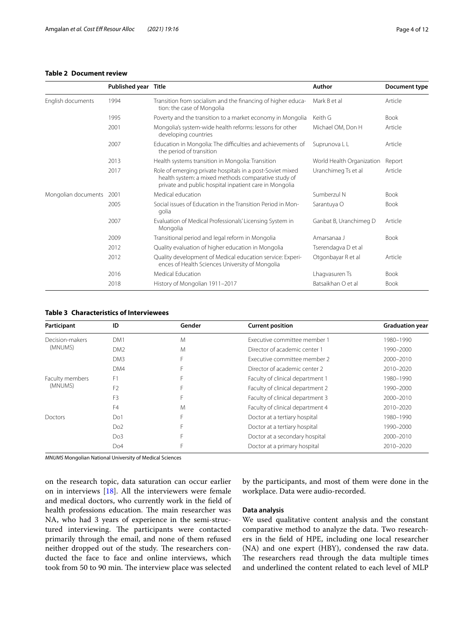# <span id="page-3-0"></span>**Table 2 Document review**

|                     | Published year Title |                                                                                                                                                                            | Author                    | Document type |
|---------------------|----------------------|----------------------------------------------------------------------------------------------------------------------------------------------------------------------------|---------------------------|---------------|
| English documents   | 1994                 | Transition from socialism and the financing of higher educa-<br>tion: the case of Mongolia                                                                                 | Mark B et al              | Article       |
|                     | 1995                 | Poverty and the transition to a market economy in Mongolia                                                                                                                 | Keith G                   | <b>Book</b>   |
|                     | 2001                 | Mongolia's system-wide health reforms: lessons for other<br>developing countries                                                                                           | Michael OM, Don H         | Article       |
|                     | 2007                 | Education in Mongolia: The difficulties and achievements of<br>the period of transition                                                                                    | Suprunova L L             | Article       |
|                     | 2013                 | Health systems transition in Mongolia: Transition                                                                                                                          | World Health Organization | Report        |
|                     | 2017                 | Role of emerging private hospitals in a post-Soviet mixed<br>health system: a mixed methods comparative study of<br>private and public hospital inpatient care in Mongolia | Uranchimeg Ts et al       | Article       |
| Mongolian documents | 2001                 | Medical education                                                                                                                                                          | Sumberzul N               | <b>Book</b>   |
|                     | 2005                 | Social issues of Education in the Transition Period in Mon-<br>golia                                                                                                       | Sarantuya O               | <b>Book</b>   |
|                     | 2007                 | Evaluation of Medical Professionals' Licensing System in<br>Mongolia                                                                                                       | Ganbat B, Uranchimeg D    | Article       |
|                     | 2009                 | Transitional period and legal reform in Mongolia                                                                                                                           | Amarsanaa J               | <b>Book</b>   |
|                     | 2012                 | Quality evaluation of higher education in Mongolia                                                                                                                         | Tserendagva D et al       |               |
|                     | 2012                 | Quality development of Medical education service: Experi-<br>ences of Health Sciences University of Mongolia                                                               | Otgonbayar R et al        | Article       |
|                     | 2016                 | Medical Education                                                                                                                                                          | Lhagvasuren Ts            | <b>Book</b>   |
|                     | 2018                 | History of Mongolian 1911-2017                                                                                                                                             | Batsaikhan O et al        | <b>Book</b>   |

# <span id="page-3-1"></span>**Table 3 Characteristics of Interviewees**

| Participant                | ID              | Gender | <b>Current position</b>          | <b>Graduation year</b> |
|----------------------------|-----------------|--------|----------------------------------|------------------------|
| Decision-makers<br>(MNUMS) | DM1             | M      | Executive committee member 1     | 1980–1990              |
|                            | DM <sub>2</sub> | M      | Director of academic center 1    | 1990-2000              |
|                            | DM3             |        | Executive committee member 2     | 2000-2010              |
|                            | DM4             |        | Director of academic center 2    | 2010-2020              |
| Faculty members<br>(MNUMS) | F <sub>1</sub>  |        | Faculty of clinical department 1 | 1980-1990              |
|                            | F <sub>2</sub>  |        | Faculty of clinical department 2 | 1990-2000              |
|                            | F <sub>3</sub>  |        | Faculty of clinical department 3 | 2000-2010              |
|                            | F4              | M      | Faculty of clinical department 4 | 2010-2020              |
| Doctors                    | Do1             | Е      | Doctor at a tertiary hospital    | 1980-1990              |
|                            | Do <sub>2</sub> |        | Doctor at a tertiary hospital    | 1990–2000              |
|                            | Do <sub>3</sub> |        | Doctor at a secondary hospital   | 2000-2010              |
|                            | Do <sub>4</sub> | F      | Doctor at a primary hospital     | 2010-2020              |

*MNUMS* Mongolian National University of Medical Sciences

on the research topic, data saturation can occur earlier on in interviews [\[18\]](#page-10-18). All the interviewers were female and medical doctors, who currently work in the feld of health professions education. The main researcher was NA, who had 3 years of experience in the semi-structured interviewing. The participants were contacted primarily through the email, and none of them refused neither dropped out of the study. The researchers conducted the face to face and online interviews, which took from 50 to 90 min. The interview place was selected by the participants, and most of them were done in the workplace. Data were audio-recorded.

## **Data analysis**

We used qualitative content analysis and the constant comparative method to analyze the data. Two researchers in the feld of HPE, including one local researcher (NA) and one expert (HBY), condensed the raw data. The researchers read through the data multiple times and underlined the content related to each level of MLP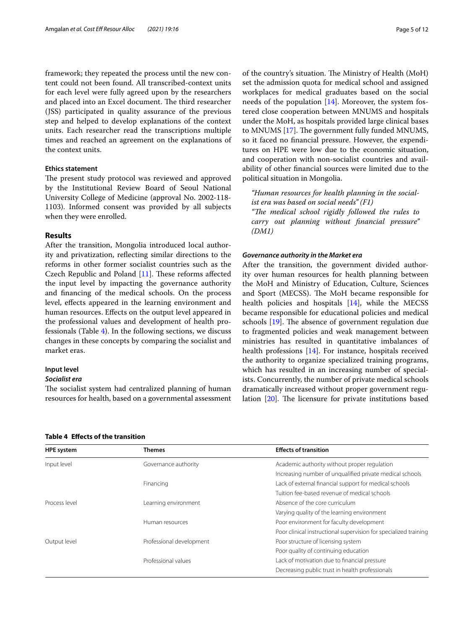framework; they repeated the process until the new content could not been found. All transcribed-context units for each level were fully agreed upon by the researchers and placed into an Excel document. The third researcher (JSS) participated in quality assurance of the previous step and helped to develop explanations of the context units. Each researcher read the transcriptions multiple times and reached an agreement on the explanations of the context units.

# **Ethics statement**

The present study protocol was reviewed and approved by the Institutional Review Board of Seoul National University College of Medicine (approval No. 2002-118- 1103). Informed consent was provided by all subjects when they were enrolled.

# **Results**

After the transition, Mongolia introduced local authority and privatization, refecting similar directions to the reforms in other former socialist countries such as the Czech Republic and Poland  $[11]$  $[11]$  $[11]$ . These reforms affected the input level by impacting the governance authority and fnancing of the medical schools. On the process level, efects appeared in the learning environment and human resources. Efects on the output level appeared in the professional values and development of health professionals (Table [4\)](#page-4-0). In the following sections, we discuss changes in these concepts by comparing the socialist and market eras.

# **Input level**

#### *Socialist era*

The socialist system had centralized planning of human resources for health, based on a governmental assessment of the country's situation. The Ministry of Health (MoH) set the admission quota for medical school and assigned workplaces for medical graduates based on the social needs of the population [\[14\]](#page-10-13). Moreover, the system fostered close cooperation between MNUMS and hospitals under the MoH, as hospitals provided large clinical bases to MNUMS [\[17\]](#page-10-17). The government fully funded MNUMS, so it faced no fnancial pressure. However, the expenditures on HPE were low due to the economic situation, and cooperation with non-socialist countries and availability of other fnancial sources were limited due to the political situation in Mongolia.

*"Human resources for health planning in the socialist era was based on social needs" (F1)* "The medical school rigidly followed the rules to *carry out planning without fnancial pressure" (DM1)*

#### *Governance authority in the Market era*

After the transition, the government divided authority over human resources for health planning between the MoH and Ministry of Education, Culture, Sciences and Sport (MECSS). The MoH became responsible for health policies and hospitals [\[14](#page-10-13)], while the MECSS became responsible for educational policies and medical schools  $[19]$  $[19]$ . The absence of government regulation due to fragmented policies and weak management between ministries has resulted in quantitative imbalances of health professions [\[14](#page-10-13)]. For instance, hospitals received the authority to organize specialized training programs, which has resulted in an increasing number of specialists. Concurrently, the number of private medical schools dramatically increased without proper government regulation  $[20]$  $[20]$  $[20]$ . The licensure for private institutions based

<span id="page-4-0"></span>

|  | Table 4 Effects of the transition |  |
|--|-----------------------------------|--|
|--|-----------------------------------|--|

| <b>HPE system</b> | Themes                   | <b>Effects of transition</b>                                     |
|-------------------|--------------------------|------------------------------------------------------------------|
| Input level       | Governance authority     | Academic authority without proper regulation                     |
|                   |                          | Increasing number of unqualified private medical schools         |
|                   | Financing                | Lack of external financial support for medical schools           |
|                   |                          | Tuition fee-based revenue of medical schools                     |
| Process level     | Learning environment     | Absence of the core curriculum                                   |
|                   |                          | Varying quality of the learning environment                      |
|                   | Human resources          | Poor environment for faculty development                         |
|                   |                          | Poor clinical instructional supervision for specialized training |
| Output level      | Professional development | Poor structure of licensing system                               |
|                   |                          | Poor quality of continuing education                             |
|                   | Professional values      | Lack of motivation due to financial pressure                     |
|                   |                          | Decreasing public trust in health professionals                  |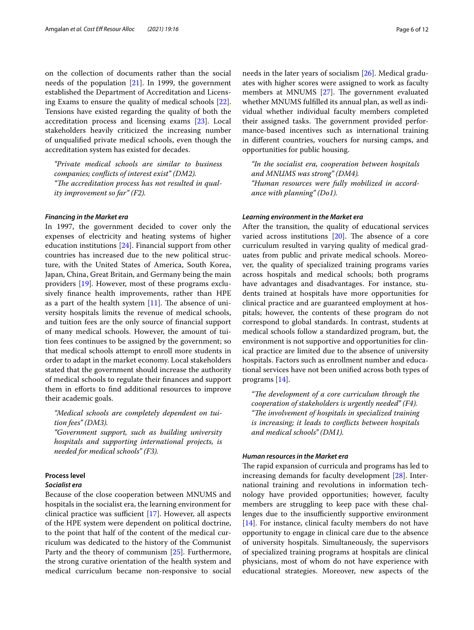on the collection of documents rather than the social needs of the population [[21\]](#page-10-21). In 1999, the government established the Department of Accreditation and Licensing Exams to ensure the quality of medical schools [\[22](#page-10-22)]. Tensions have existed regarding the quality of both the accreditation process and licensing exams [[23](#page-10-23)]. Local stakeholders heavily criticized the increasing number of unqualifed private medical schools, even though the accreditation system has existed for decades.

*"Private medical schools are similar to business companies; conficts of interest exist" (DM2).* "The accreditation process has not resulted in qual*ity improvement so far" (F2).*

#### *Financing in the Market era*

In 1997, the government decided to cover only the expenses of electricity and heating systems of higher education institutions [[24\]](#page-10-24). Financial support from other countries has increased due to the new political structure, with the United States of America, South Korea, Japan, China, Great Britain, and Germany being the main providers [\[19\]](#page-10-19). However, most of these programs exclusively fnance health improvements, rather than HPE as a part of the health system  $[11]$  $[11]$ . The absence of university hospitals limits the revenue of medical schools, and tuition fees are the only source of fnancial support of many medical schools. However, the amount of tuition fees continues to be assigned by the government; so that medical schools attempt to enroll more students in order to adapt in the market economy. Local stakeholders stated that the government should increase the authority of medical schools to regulate their fnances and support them in eforts to fnd additional resources to improve their academic goals.

*"Medical schools are completely dependent on tuition fees" (DM3).*

*"Government support, such as building university hospitals and supporting international projects, is needed for medical schools" (F3).*

# **Process level**

# *Socialist era*

Because of the close cooperation between MNUMS and hospitals in the socialist era, the learning environment for clinical practice was sufficient  $[17]$  $[17]$  $[17]$ . However, all aspects of the HPE system were dependent on political doctrine, to the point that half of the content of the medical curriculum was dedicated to the history of the Communist Party and the theory of communism [\[25\]](#page-10-25). Furthermore, the strong curative orientation of the health system and medical curriculum became non-responsive to social needs in the later years of socialism [\[26](#page-10-26)]. Medical graduates with higher scores were assigned to work as faculty members at MNUMS [[27](#page-10-27)]. The government evaluated whether MNUMS fulflled its annual plan, as well as individual whether individual faculty members completed their assigned tasks. The government provided performance-based incentives such as international training in diferent countries, vouchers for nursing camps, and opportunities for public housing.

*"In the socialist era, cooperation between hospitals and MNUMS was strong" (DM4). "Human resources were fully mobilized in accordance with planning" (Do1).*

## *Learning environment in the Market era*

After the transition, the quality of educational services varied across institutions  $[20]$  $[20]$ . The absence of a core curriculum resulted in varying quality of medical graduates from public and private medical schools. Moreover, the quality of specialized training programs varies across hospitals and medical schools; both programs have advantages and disadvantages. For instance, students trained at hospitals have more opportunities for clinical practice and are guaranteed employment at hospitals; however, the contents of these program do not correspond to global standards. In contrast, students at medical schools follow a standardized program, but, the environment is not supportive and opportunities for clinical practice are limited due to the absence of university hospitals. Factors such as enrollment number and educational services have not been unifed across both types of programs [\[14](#page-10-13)].

"The development of a core curriculum through the *cooperation of stakeholders is urgently needed" (F4). "The involvement of hospitals in specialized training is increasing; it leads to conficts between hospitals and medical schools" (DM1).*

# *Human resources in the Market era*

The rapid expansion of curricula and programs has led to increasing demands for faculty development [[28](#page-10-28)]. International training and revolutions in information technology have provided opportunities; however, faculty members are struggling to keep pace with these challenges due to the insufficiently supportive environment [[14\]](#page-10-13). For instance, clinical faculty members do not have opportunity to engage in clinical care due to the absence of university hospitals. Simultaneously, the supervisors of specialized training programs at hospitals are clinical physicians, most of whom do not have experience with educational strategies. Moreover, new aspects of the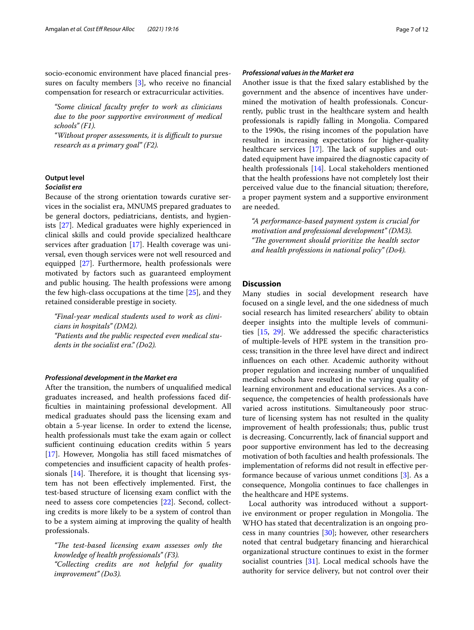socio-economic environment have placed fnancial pres-sures on faculty members [[3\]](#page-10-2), who receive no financial compensation for research or extracurricular activities.

*"Some clinical faculty prefer to work as clinicians due to the poor supportive environment of medical schools" (F1).*

*"Without proper assessments, it is difcult to pursue research as a primary goal" (F2).*

# **Output level**

# *Socialist era*

Because of the strong orientation towards curative services in the socialist era, MNUMS prepared graduates to be general doctors, pediatricians, dentists, and hygienists [\[27](#page-10-27)]. Medical graduates were highly experienced in clinical skills and could provide specialized healthcare services after graduation [[17\]](#page-10-17). Health coverage was universal, even though services were not well resourced and equipped [[27\]](#page-10-27). Furthermore, health professionals were motivated by factors such as guaranteed employment and public housing. The health professions were among the few high-class occupations at the time [[25\]](#page-10-25), and they retained considerable prestige in society.

*"Final-year medical students used to work as clinicians in hospitals" (DM2). "Patients and the public respected even medical students in the socialist era." (Do2).*

## *Professional development in the Market era*

After the transition, the numbers of unqualifed medical graduates increased, and health professions faced diffculties in maintaining professional development. All medical graduates should pass the licensing exam and obtain a 5-year license. In order to extend the license, health professionals must take the exam again or collect sufficient continuing education credits within 5 years [[17\]](#page-10-17). However, Mongolia has still faced mismatches of competencies and insufficient capacity of health professionals  $[14]$  $[14]$ . Therefore, it is thought that licensing system has not been efectively implemented. First, the test-based structure of licensing exam confict with the need to assess core competencies [\[22](#page-10-22)]. Second, collecting credits is more likely to be a system of control than to be a system aiming at improving the quality of health professionals.

"The test-based licensing exam assesses only the *knowledge of health professionals" (F3). "Collecting credits are not helpful for quality improvement" (Do3).*

## *Professional values in the Market era*

Another issue is that the fxed salary established by the government and the absence of incentives have undermined the motivation of health professionals. Concurrently, public trust in the healthcare system and health professionals is rapidly falling in Mongolia. Compared to the 1990s, the rising incomes of the population have resulted in increasing expectations for higher-quality healthcare services  $[17]$  $[17]$ . The lack of supplies and outdated equipment have impaired the diagnostic capacity of health professionals [\[14\]](#page-10-13). Local stakeholders mentioned that the health professions have not completely lost their perceived value due to the fnancial situation; therefore, a proper payment system and a supportive environment are needed.

*"A performance-based payment system is crucial for motivation and professional development" (DM3). "The government should prioritize the health sector and health professions in national policy" (Do4).*

# **Discussion**

Many studies in social development research have focused on a single level, and the one sidedness of much social research has limited researchers' ability to obtain deeper insights into the multiple levels of communities [[15](#page-10-14), [29](#page-10-29)]. We addressed the specifc characteristics of multiple-levels of HPE system in the transition process; transition in the three level have direct and indirect infuences on each other. Academic authority without proper regulation and increasing number of unqualifed medical schools have resulted in the varying quality of learning environment and educational services. As a consequence, the competencies of health professionals have varied across institutions. Simultaneously poor structure of licensing system has not resulted in the quality improvement of health professionals; thus, public trust is decreasing. Concurrently, lack of fnancial support and poor supportive environment has led to the decreasing motivation of both faculties and health professionals. The implementation of reforms did not result in efective performance because of various unmet conditions [\[3](#page-10-2)]. As a consequence, Mongolia continues to face challenges in the healthcare and HPE systems.

Local authority was introduced without a supportive environment or proper regulation in Mongolia. The WHO has stated that decentralization is an ongoing process in many countries [[30](#page-10-30)]; however, other researchers noted that central budgetary fnancing and hierarchical organizational structure continues to exist in the former socialist countries [[31\]](#page-10-31). Local medical schools have the authority for service delivery, but not control over their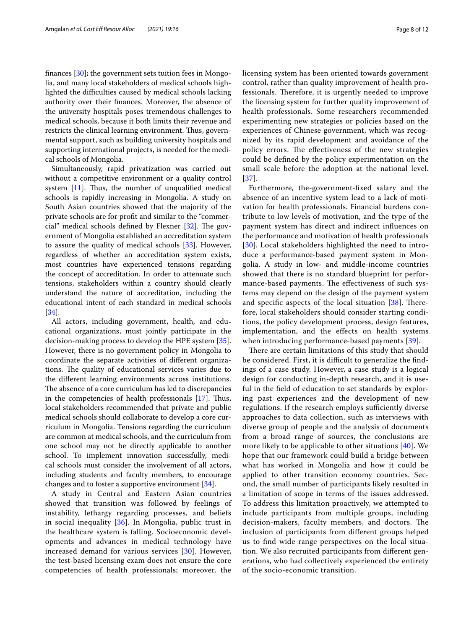fnances [[30\]](#page-10-30); the government sets tuition fees in Mongolia, and many local stakeholders of medical schools highlighted the difficulties caused by medical schools lacking authority over their fnances. Moreover, the absence of the university hospitals poses tremendous challenges to medical schools, because it both limits their revenue and restricts the clinical learning environment. Thus, governmental support, such as building university hospitals and supporting international projects, is needed for the medical schools of Mongolia.

Simultaneously, rapid privatization was carried out without a competitive environment or a quality control system  $[11]$  $[11]$  $[11]$ . Thus, the number of unqualified medical schools is rapidly increasing in Mongolia. A study on South Asian countries showed that the majority of the private schools are for proft and similar to the "commercial" medical schools defined by Flexner  $[32]$ . The government of Mongolia established an accreditation system to assure the quality of medical schools [[33\]](#page-10-33). However, regardless of whether an accreditation system exists, most countries have experienced tensions regarding the concept of accreditation. In order to attenuate such tensions, stakeholders within a country should clearly understand the nature of accreditation, including the educational intent of each standard in medical schools [[34\]](#page-10-34).

All actors, including government, health, and educational organizations, must jointly participate in the decision-making process to develop the HPE system [\[35](#page-10-35)]. However, there is no government policy in Mongolia to coordinate the separate activities of diferent organizations. The quality of educational services varies due to the diferent learning environments across institutions. The absence of a core curriculum has led to discrepancies in the competencies of health professionals  $[17]$  $[17]$ . Thus, local stakeholders recommended that private and public medical schools should collaborate to develop a core curriculum in Mongolia. Tensions regarding the curriculum are common at medical schools, and the curriculum from one school may not be directly applicable to another school. To implement innovation successfully, medical schools must consider the involvement of all actors, including students and faculty members, to encourage changes and to foster a supportive environment [\[34](#page-10-34)].

A study in Central and Eastern Asian countries showed that transition was followed by feelings of instability, lethargy regarding processes, and beliefs in social inequality [[36](#page-10-36)]. In Mongolia, public trust in the healthcare system is falling. Socioeconomic developments and advances in medical technology have increased demand for various services [\[30](#page-10-30)]. However, the test-based licensing exam does not ensure the core competencies of health professionals; moreover, the licensing system has been oriented towards government control, rather than quality improvement of health professionals. Therefore, it is urgently needed to improve the licensing system for further quality improvement of health professionals. Some researchers recommended experimenting new strategies or policies based on the experiences of Chinese government, which was recognized by its rapid development and avoidance of the policy errors. The effectiveness of the new strategies could be defned by the policy experimentation on the small scale before the adoption at the national level. [[37](#page-11-0)].

Furthermore, the-government-fxed salary and the absence of an incentive system lead to a lack of motivation for health professionals. Financial burdens contribute to low levels of motivation, and the type of the payment system has direct and indirect infuences on the performance and motivation of health professionals [[30](#page-10-30)]. Local stakeholders highlighted the need to introduce a performance-based payment system in Mongolia. A study in low- and middle-income countries showed that there is no standard blueprint for performance-based payments. The effectiveness of such systems may depend on the design of the payment system and specific aspects of the local situation  $[38]$  $[38]$ . Therefore, local stakeholders should consider starting conditions, the policy development process, design features, implementation, and the efects on health systems when introducing performance-based payments [\[39](#page-11-2)].

There are certain limitations of this study that should be considered. First, it is difficult to generalize the findings of a case study. However, a case study is a logical design for conducting in-depth research, and it is useful in the feld of education to set standards by exploring past experiences and the development of new regulations. If the research employs sufficiently diverse approaches to data collection, such as interviews with diverse group of people and the analysis of documents from a broad range of sources, the conclusions are more likely to be applicable to other situations [\[40](#page-11-3)]. We hope that our framework could build a bridge between what has worked in Mongolia and how it could be applied to other transition economy countries. Second, the small number of participants likely resulted in a limitation of scope in terms of the issues addressed. To address this limitation proactively, we attempted to include participants from multiple groups, including decision-makers, faculty members, and doctors. The inclusion of participants from diferent groups helped us to fnd wide range perspectives on the local situation. We also recruited participants from diferent generations, who had collectively experienced the entirety of the socio-economic transition.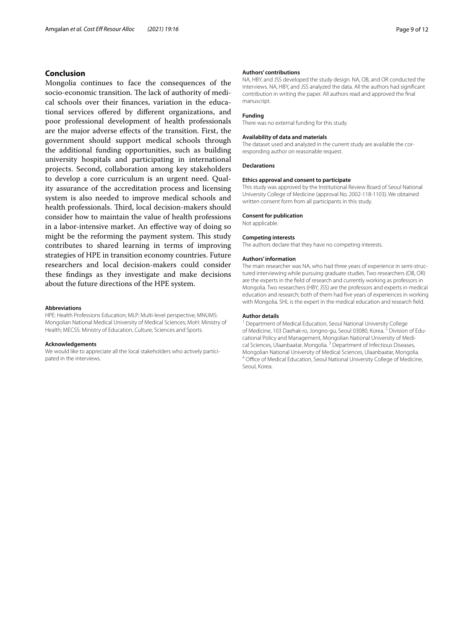# **Conclusion**

Mongolia continues to face the consequences of the socio-economic transition. The lack of authority of medical schools over their fnances, variation in the educational services ofered by diferent organizations, and poor professional development of health professionals are the major adverse efects of the transition. First, the government should support medical schools through the additional funding opportunities, such as building university hospitals and participating in international projects. Second, collaboration among key stakeholders to develop a core curriculum is an urgent need. Quality assurance of the accreditation process and licensing system is also needed to improve medical schools and health professionals. Third, local decision-makers should consider how to maintain the value of health professions in a labor-intensive market. An efective way of doing so might be the reforming the payment system. This study contributes to shared learning in terms of improving strategies of HPE in transition economy countries. Future researchers and local decision-makers could consider these fndings as they investigate and make decisions about the future directions of the HPE system.

#### **Abbreviations**

HPE: Health Professions Education; MLP: Multi-level perspective; MNUMS: Mongolian National Medical University of Medical Sciences; MoH: Ministry of Health; MECSS: Ministry of Education, Culture, Sciences and Sports.

#### **Acknowledgements**

We would like to appreciate all the local stakeholders who actively participated in the interviews.

#### **Authors' contributions**

NA, HBY, and JSS developed the study design. NA, OB, and OR conducted the interviews. NA, HBY, and JSS analyzed the data. All the authors had signifcant contribution in writing the paper. All authors read and approved the fnal manuscript.

#### **Funding**

There was no external funding for this study.

#### **Availability of data and materials**

The dataset used and analyzed in the current study are available the corresponding author on reasonable request.

#### **Declarations**

#### **Ethics approval and consent to participate**

This study was approved by the Institutional Review Board of Seoul National University College of Medicine (approval No. 2002-118-1103). We obtained written consent form from all participants in this study.

#### **Consent for publication**

Not applicable.

#### **Competing interests**

The authors declare that they have no competing interests.

#### **Authors' information**

The main researcher was NA, who had three years of experience in semi-structured interviewing while pursuing graduate studies. Two researchers (OB, OR) are the experts in the feld of research and currently working as professors in Mongolia. Two researchers (HBY, JSS) are the professors and experts in medical education and research; both of them had fve years of experiences in working with Mongolia. SHL is the expert in the medical education and research feld.

#### **Author details**

<sup>1</sup> Department of Medical Education, Seoul National University College of Medicine, 103 Daehak-ro, Jongno-gu, Seoul 03080, Korea. <sup>2</sup> Division of Educational Policy and Management, Mongolian National University of Medical Sciences, Ulaanbaatar, Mongolia. 3 Department of Infectious Diseases, Mongolian National University of Medical Sciences, Ulaanbaatar, Mongolia.<br><sup>4</sup> Office of Medical Education, Seoul National University College of Medicine, Seoul, Korea.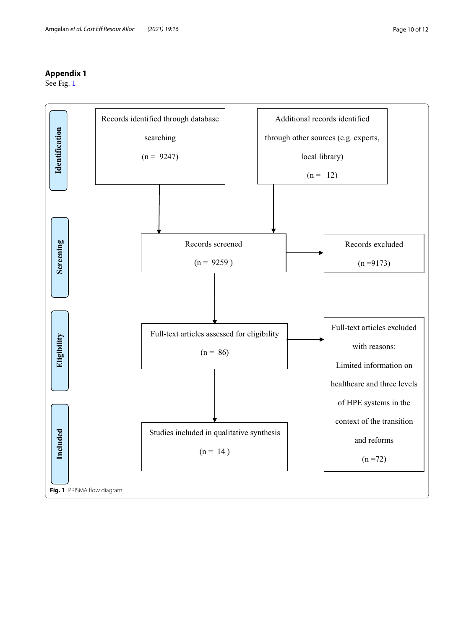# <span id="page-9-0"></span>**Appendix 1**

See Fig. [1](#page-9-1)

<span id="page-9-1"></span>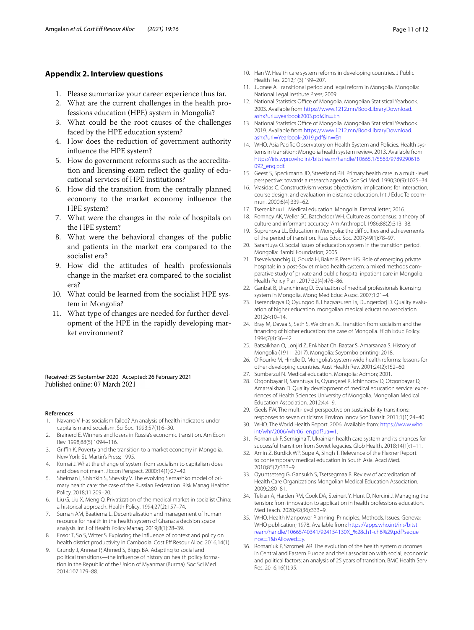# <span id="page-10-16"></span>**Appendix 2. Interview questions**

- 1. Please summarize your career experience thus far.
- 2. What are the current challenges in the health professions education (HPE) system in Mongolia?
- 3. What could be the root causes of the challenges faced by the HPE education system?
- 4. How does the reduction of government authority infuence the HPE system?
- 5. How do government reforms such as the accreditation and licensing exam reflect the quality of educational services of HPE institutions?
- 6. How did the transition from the centrally planned economy to the market economy infuence the HPE system?
- 7. What were the changes in the role of hospitals on the HPE system?
- 8. What were the behavioral changes of the public and patients in the market era compared to the socialist era?
- 9. How did the attitudes of health professionals change in the market era compared to the socialist era?
- 10. What could be learned from the socialist HPE system in Mongolia?
- 11. What type of changes are needed for further development of the HPE in the rapidly developing market environment?

#### Received: 25 September 2020 Accepted: 26 February 2021 Published online: 07 March 2021

#### **References**

- <span id="page-10-0"></span>1. Navarro V. Has socialism failed? An analysis of health indicators under capitalism and socialism. Sci Soc. 1993;57(1):6–30.
- <span id="page-10-1"></span>2. Brainerd E. Winners and losers in Russia's economic transition. Am Econ Rev. 1998;88(5):1094–116.
- <span id="page-10-2"></span>3. Grifn K. Poverty and the transition to a market economy in Mongolia. New York: St. Martin's Press; 1995.
- <span id="page-10-3"></span>4. Kornai J. What the change of system from socialism to capitalism does and does not mean. J Econ Perspect. 2000;14(1):27–42.
- <span id="page-10-4"></span>5. Sheiman I, Shishkin S, Shevsky V. The evolving Semashko model of primary health care: the case of the Russian Federation. Risk Manag Healthc Policy. 2018;11:209–20.
- <span id="page-10-5"></span>6. Liu G, Liu X, Meng Q. Privatization of the medical market in socialist China: a historical approach. Health Policy. 1994;27(2):157–74.
- <span id="page-10-6"></span>7. Sumah AM, Baatiema L. Decentralisation and management of human resource for health in the health system of Ghana: a decision space analysis. Int J of Health Policy Manag. 2019;8(1):28–39.
- <span id="page-10-7"></span>8. Ensor T, So S, Witter S. Exploring the infuence of context and policy on health district productivity in Cambodia. Cost Eff Resour Alloc. 2016;14(1)
- <span id="page-10-8"></span>9. Grundy J, Annear P, Ahmed S, Biggs BA. Adapting to social and political transitions—the influence of history on health policy formation in the Republic of the Union of Myanmar (Burma). Soc Sci Med. 2014;107:179–88.
- <span id="page-10-9"></span>10. Han W. Health care system reforms in developing countries. J Public Health Res. 2012;1(3):199–207.
- <span id="page-10-10"></span>11. Jugnee A. Transitional period and legal reform in Mongolia. Mongolia: National Legal Institute Press; 2009.
- <span id="page-10-11"></span>12. National Statistics Office of Mongolia. Mongolian Statistical Yearbook. 2003. Available from [https://www.1212.mn/BookLibraryDownload.](https://www.1212.mn/BookLibraryDownload.ashx?url=yearbook2003.pdf&ln=En) ashx?url=[yearbook2003.pdf&ln](https://www.1212.mn/BookLibraryDownload.ashx?url=yearbook2003.pdf&ln=En)=En
- <span id="page-10-12"></span>13. National Statistics Office of Mongolia. Mongolian Statistical Yearbook. 2019. Available from [https://www.1212.mn/BookLibraryDownload.](https://www.1212.mn/BookLibraryDownload.ashx?url=Yearbook-2019.pdf&ln=En) ashx?url=[Yearbook-2019.pdf&ln](https://www.1212.mn/BookLibraryDownload.ashx?url=Yearbook-2019.pdf&ln=En)=En
- <span id="page-10-13"></span>14. WHO. Asia Pacific Observatory on Health System and Policies. Health systems in transition: Mongolia health system review. 2013. Available from [https://iris.wpro.who.int/bitstream/handle/10665.1/5563/9789290616](https://iris.wpro.who.int/bitstream/handle/10665.1/5563/9789290616092_eng.pdf) [092\\_eng.pdf](https://iris.wpro.who.int/bitstream/handle/10665.1/5563/9789290616092_eng.pdf).
- <span id="page-10-14"></span>15. Geest S, Speckmann JD, Streefand PH. Primary health care in a multi-level perspective: towards a research agenda. Soc Sci Med. 1990;30(9):1025–34.
- <span id="page-10-15"></span>16. Vrasidas C. Constructivism versus objectivism: implications for interaction, course design, and evaluation in distance education. Int J Educ Telecommun. 2000;6(4):339–62.
- <span id="page-10-17"></span>17. Tserenkhuu L. Medical education. Mongolia: Eternal letter; 2016.
- <span id="page-10-18"></span>18. Romney AK, Weller SC, Batchelder WH. Culture as consensus: a theory of culture and informant accuracy. Am Anthropol. 1986;88(2):313–38.
- <span id="page-10-19"></span>19. Suprunova LL. Education in Mongolia: the difficulties and achievements of the period of transition. Russ Educ Soc. 2007;49(1):78–97.
- <span id="page-10-20"></span>20. Sarantuya O. Social issues of education system in the transition period. Mongolia: Bambi Foundation; 2005.
- <span id="page-10-21"></span>21. Tsevelvaanchig U, Gouda H, Baker P, Peter HS. Role of emerging private hospitals in a post-Soviet mixed health system: a mixed methods comparative study of private and public hospital inpatient care in Mongolia. Health Policy Plan. 2017;32(4):476–86.
- <span id="page-10-22"></span>22. Ganbat B, Uranchimeg D. Evaluation of medical professionals licensing system in Mongolia. Mong Med Educ Assoc. 2007;1:21–4.
- <span id="page-10-23"></span>23. Tserendagva D, Oyungoo B, Lhagvasuren Ts, Dungerdorj D. Quality evaluation of higher education. mongolian medical education association. 2012;4:10–14.
- <span id="page-10-24"></span>24. Bray M, Davaa S, Seth S, Weidman JC. Transition from socialism and the fnancing of higher education: the case of Mongolia. High Educ Policy. 1994;7(4):36–42.
- <span id="page-10-25"></span>25. Batsaikhan O, Lonjid Z, Enkhbat Ch, Baatar S, Amarsanaa S. History of Mongolia (1911–2017). Mongolia: Soyombo printing; 2018.
- <span id="page-10-26"></span>26. O'Rourke M, Hindle D. Mongolia's system-wide health reforms: lessons for other developing countries. Aust Health Rev. 2001;24(2):152–60.
- <span id="page-10-27"></span>27. Sumberzul N. Medical education. Mongolia: Admon; 2001.
- <span id="page-10-28"></span>28. Otgonbayar R, Sarantuya Ts, Oyungerel R, Ichinnorov D, Otgonbayar D, Amarsaikhan D. Quality development of medical education service: experiences of Health Sciences University of Mongolia. Mongolian Medical Education Association. 2012;4:4–9.
- <span id="page-10-29"></span>29. Geels FW. The multi-level perspective on sustainability transitions: responses to seven criticisms. Environ Innov Soc Transit. 2011;1(1):24–40.
- <span id="page-10-30"></span>30. WHO. The World Health Report. 2006. Available from: [https://www.who.](https://www.who.int/whr/2006/whr06_en.pdf?ua=1) [int/whr/2006/whr06\\_en.pdf?ua](https://www.who.int/whr/2006/whr06_en.pdf?ua=1)=1.
- <span id="page-10-31"></span>31. Romaniuk P, Semigina T. Ukrainian health care system and its chances for successful transition from Soviet legacies. Glob Health. 2018;14(1):1–11.
- <span id="page-10-32"></span>32. Amin Z, Burdick WP, Supe A, Singh T. Relevance of the Flexner Report to contemporary medical education in South Asia. Acad Med. 2010;85(2):333–9.
- <span id="page-10-33"></span>33. Oyuntsetseg G, Gansukh S, Tsetsegmaa B. Review of accreditation of Health Care Organizations Mongolian Medical Education Association. 2009;2:80–81.
- <span id="page-10-34"></span>34. Tekian A, Harden RM, Cook DA, Steinert Y, Hunt D, Norcini J. Managing the tension: from innovation to application in health professions education. Med Teach. 2020;42(36):333–9.
- <span id="page-10-35"></span>35. WHO. Health Manpower Planning: Principles, Methods, Issues. Geneva: WHO publication; 1978. Available from: [https://apps.who.int/iris/bitst](https://apps.who.int/iris/bitstream/handle/10665/40341/924154130X_%28ch1-ch6%29.pdf?sequence=1&isAllowed=y) [ream/handle/10665/40341/924154130X\\_%28ch1-ch6%29.pdf?seque](https://apps.who.int/iris/bitstream/handle/10665/40341/924154130X_%28ch1-ch6%29.pdf?sequence=1&isAllowed=y) nce=[1&isAllowed](https://apps.who.int/iris/bitstream/handle/10665/40341/924154130X_%28ch1-ch6%29.pdf?sequence=1&isAllowed=y)=y.
- <span id="page-10-36"></span>36. Romaniuk P, Szromek AR. The evolution of the health system outcomes in Central and Eastern Europe and their association with social, economic and political factors: an analysis of 25 years of transition. BMC Health Serv Res. 2016;16(1):95.